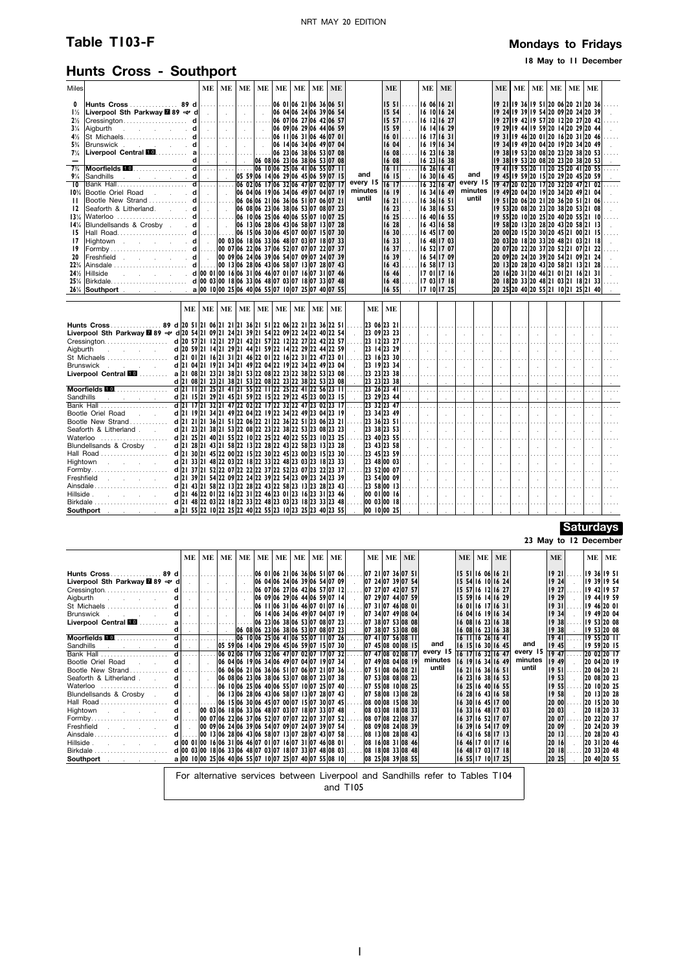# **Table T103-F Mondays** to Fridays

## **18 May to 11 December**

# **Hunts Cross - Southport**

| Miles                            |                                                                                                                                                                                                                                                                                               | ME | ME        | ME | ME | ME | ME | ME                                  | ME |           | ME                                                     |                     | ME               | <b>ME</b>                  |                      |          | <b>ME</b>               | ME                                                                         | ME                        | ME                          | ME       | ME            |  |
|----------------------------------|-----------------------------------------------------------------------------------------------------------------------------------------------------------------------------------------------------------------------------------------------------------------------------------------------|----|-----------|----|----|----|----|-------------------------------------|----|-----------|--------------------------------------------------------|---------------------|------------------|----------------------------|----------------------|----------|-------------------------|----------------------------------------------------------------------------|---------------------------|-----------------------------|----------|---------------|--|
| 0                                |                                                                                                                                                                                                                                                                                               |    |           |    |    |    |    |                                     |    |           | 1551                                                   |                     |                  | 16 06 16 21                |                      |          |                         | 19 21 19 36 19 51 20 06 20 21 20 36                                        |                           |                             |          |               |  |
| $1\frac{1}{2}$                   | Liverpool Sth Parkway <b>289</b> $\rightarrow$ d $\vert \cdot \vert \cdot \vert$                                                                                                                                                                                                              |    |           |    |    |    |    | 06 04 06 24 06 39 06 54             |    |           | 15 54                                                  |                     |                  | 16 10 16 24                |                      |          |                         | 19 24 19 39 19 54 20 09 20 24 20 39                                        |                           |                             |          |               |  |
| $2\frac{1}{2}$                   |                                                                                                                                                                                                                                                                                               |    |           |    |    |    |    |                                     |    |           | 15 57                                                  |                     |                  | 16 12 16 27                |                      |          |                         | 19 27 19 42 19 57 20 12 20 27 20 42                                        |                           |                             |          |               |  |
| $3\%$                            | Aigburth $\begin{bmatrix} 1 & 1 & 1 \\ 1 & 1 & 1 \\ 1 & 1 & 1 \end{bmatrix}$ .                                                                                                                                                                                                                |    |           |    |    |    |    | 06 09 06 29 06 44 06 59             |    |           | 15 59l                                                 |                     |                  | 16 14 16 29                |                      |          |                         | 9 29  9 44  9 59  20 14  20 29  20 44                                      |                           |                             |          |               |  |
| $4\frac{1}{2}$                   | St_Michaels……………………… d               06   1   06   31   06   46   07   0                                                                                                                                                                                                                      |    |           |    |    |    |    |                                     |    |           | 16 01                                                  | .                   |                  | 16 17 16 31                |                      |          |                         | 19 31 19 46 20 01 20 16 20 31 20 46                                        |                           |                             |          |               |  |
| $5\%$                            |                                                                                                                                                                                                                                                                                               |    |           |    |    |    |    |                                     |    |           | 16 04                                                  |                     |                  | 16 19 16 34                |                      |          |                         | 19 34 19 49 20 04 20 19 20 34 20 49                                        |                           |                             |          |               |  |
| $7\%$                            |                                                                                                                                                                                                                                                                                               |    |           |    |    |    |    |                                     |    |           | 16 08                                                  | .                   |                  | 16 23 16 38                |                      |          |                         | 19 38 19 53 20 08 20 23 20 38 20 53                                        |                           |                             |          |               |  |
|                                  | Moorfields Manuscript (1990) 1990 1990 23 06 38 06 33 07 08                                                                                                                                                                                                                                   |    |           |    |    |    |    |                                     |    |           | 16 08                                                  | $\mathcal{L}$       |                  | 6 23  6 38                 |                      |          |                         | 19 38 19 53 20 08 20 23 20 38 20 53                                        |                           |                             |          |               |  |
| $7\frac{3}{4}$<br>$9\frac{1}{4}$ |                                                                                                                                                                                                                                                                                               |    |           |    |    |    |    | 05 59 06 14 06 29 06 45 06 59 07 15 |    | and       | $16$ $11$<br>$16$ $15$                                 | .                   |                  | 16 26 16 41<br>16 30 16 45 | and                  |          |                         | 19 41119 55 20 11 20 25 20 41 20 55<br>19 45 19 59 20 15 20 29 20 45 20 59 |                           |                             |          |               |  |
| $\overline{10}$                  |                                                                                                                                                                                                                                                                                               |    |           |    |    |    |    |                                     |    | every 15  | 1617                                                   | $\sim$<br>.         |                  | 16 32 16 47                | every 15             |          |                         | 19 47 20 02 20 17 20 32 20 47 21 02                                        |                           |                             |          |               |  |
| $10^{3}/_{4}$                    | Bootle Oriel Road. d .   .                                                                                                                                                                                                                                                                    |    |           |    |    |    |    | 06 04 06 19 06 34 06 49 07 04 07 19 |    | minutes   | 16 19                                                  | $\sim$              |                  | 16 34 16 49                | minutes              |          |                         | 19 49 20 04 20 19 20 34 20 49 21 04                                        |                           |                             |          |               |  |
| $\mathbf{H}$                     |                                                                                                                                                                                                                                                                                               |    |           |    |    |    |    |                                     |    | until     | 1621                                                   | .                   | 16 36 16 51      |                            |                      | until    |                         | 19 51 20 06 20 21 20 36 20 51 21 06                                        |                           |                             |          |               |  |
| 12                               | Seaforth & Litherland. d   . 06 08 06 23 06 38 06 53 07 08 07 23                                                                                                                                                                                                                              |    |           |    |    |    |    |                                     |    |           | 1623                                                   |                     | 16 38 16 53      |                            |                      |          |                         | 19 53 20 08 20 23 20 38 20 53 21 08                                        |                           |                             |          |               |  |
| 13%                              |                                                                                                                                                                                                                                                                                               |    |           |    |    |    |    |                                     |    |           | 16 25                                                  | .                   |                  | 16 40 16 55                |                      |          |                         | 19 55  20 10  20 25  20 40  20 55  21 10                                   |                           |                             |          |               |  |
| 14%                              |                                                                                                                                                                                                                                                                                               |    |           |    |    |    |    |                                     |    |           | 16 28                                                  | $\sim$              |                  | 6 43  6 58                 |                      |          |                         | 9 58 20 13 20 28 20 43 20 58 21 13                                         |                           |                             |          |               |  |
| 15                               |                                                                                                                                                                                                                                                                                               |    |           |    |    |    |    |                                     |    |           | 16 30                                                  |                     |                  | 16 45 17 00                |                      |          |                         | 20 00 20 15 20 30 20 45 21 00 21 15                                        |                           |                             |          |               |  |
| 17                               | $ Hightown$ d 00 03 06 18 06 33 06 48 07 03 07 18 07 33                                                                                                                                                                                                                                       |    |           |    |    |    |    |                                     |    |           | 1633                                                   | $\sim$              |                  | 16 48 17 03                |                      |          |                         | 20 03 20 18 20 33 20 48 21 03 21 18                                        |                           |                             |          |               |  |
| 19                               |                                                                                                                                                                                                                                                                                               |    |           |    |    |    |    |                                     |    |           | 1637<br>16 39                                          | .                   | 16 52 17 07      | 16 54 17 09                |                      |          |                         | 20 07 20 22 20 37 20 52 21 07 21 22                                        |                           |                             |          |               |  |
| 20<br>22%                        |                                                                                                                                                                                                                                                                                               |    |           |    |    |    |    |                                     |    |           | 1643                                                   | $\sim$<br>.         | 6 58  7 13       |                            |                      |          |                         | 20 09 20 24 20 39 20 54 21 09 21 24<br>20 13 20 28 20 43 20 58 21 13 21 28 |                           |                             |          |               |  |
| 24%                              |                                                                                                                                                                                                                                                                                               |    |           |    |    |    |    |                                     |    |           | 1646                                                   |                     |                  | 17 01 17 16                |                      |          | 20                      | $16$  20 31 20 46 21 01 21 16 21 31                                        |                           |                             |          |               |  |
| 25%                              |                                                                                                                                                                                                                                                                                               |    |           |    |    |    |    |                                     |    |           |                                                        | $1648$              |                  | 17 03 17 18                |                      |          |                         | 20 18 20 33 20 48 21 03 21 18 21 33                                        |                           |                             |          |               |  |
|                                  | 26% Southport a a 00 10 00 25 06 40 06 55 07 10 07 25 07 40 07 55                                                                                                                                                                                                                             |    |           |    |    |    |    |                                     |    |           | 16 55                                                  |                     |                  | 17 10 17 25                |                      |          |                         | 20 25 20 40 20 55 21 10 21 25 21 40                                        |                           |                             |          |               |  |
|                                  |                                                                                                                                                                                                                                                                                               |    |           |    |    |    |    |                                     |    |           |                                                        |                     |                  |                            |                      |          |                         |                                                                            |                           |                             |          |               |  |
|                                  |                                                                                                                                                                                                                                                                                               |    |           |    |    |    |    |                                     |    |           |                                                        |                     |                  |                            |                      |          |                         |                                                                            |                           |                             |          |               |  |
|                                  | ME                                                                                                                                                                                                                                                                                            | ME | <b>ME</b> |    |    |    |    | ME   ME   ME   ME   ME              | ME | <b>ME</b> | ME                                                     |                     |                  |                            |                      |          |                         |                                                                            |                           |                             |          |               |  |
|                                  |                                                                                                                                                                                                                                                                                               |    |           |    |    |    |    |                                     |    |           | 23 06 23 21                                            |                     | . 1 1            |                            | لتنبي البيني         |          | 1.1.1.1                 | .                                                                          |                           |                             |          |               |  |
|                                  | Liverpool Sth Parkway 289 $\rightleftharpoons$ d 20 54 21 09 21 24 21 39 21 54 22 09 22 24 22 40 22 54                                                                                                                                                                                        |    |           |    |    |    |    |                                     |    |           | 23 09 23 23                                            |                     | and the later    |                            | - 1                  | $\sim$   | $\sim$                  | $\sim$                                                                     | $\sim$                    | $\sim$                      |          |               |  |
|                                  |                                                                                                                                                                                                                                                                                               |    |           |    |    |    |    |                                     |    |           |                                                        |                     |                  |                            | . 1                  | .        | .                       | .                                                                          | .                         |                             |          |               |  |
|                                  |                                                                                                                                                                                                                                                                                               |    |           |    |    |    |    |                                     |    |           | $ 23 \t14 23 \t29$                                     |                     |                  |                            | $\sim 10^{-11}$      | $\sim$   | $\sim$                  | $\sim$                                                                     |                           |                             |          |               |  |
|                                  |                                                                                                                                                                                                                                                                                               |    |           |    |    |    |    |                                     |    |           | $ 23 \t16 23 \t30  \ldots   \ldots   \ldots  $         |                     |                  |                            | . 1                  | .        | .                       | .                                                                          | 1.1.1.1                   | .                           |          |               |  |
|                                  | d 21 04 21 19 21 34 21 49 22 04 22 19 22 34 22 49 23 04<br>Brunswick                                                                                                                                                                                                                          |    |           |    |    |    |    |                                     |    |           | $ 23 \t19 23 \t34$                                     |                     |                  | $\sim 10^{-1}$             | $\sim 10^{-11}$      | $\sim$   | $\sim$                  | $\sim$                                                                     |                           | $\mathcal{L}^{\mathcal{L}}$ |          |               |  |
|                                  | Liverpool Central <b>100</b> a 21 08 21 23 21 38 21 53 22 08 22 23 22 38 22 53 23 08<br>d 21 08 21 23 21 38 21 53 22 08 22 23 22 38 22 53 23 08                                                                                                                                               |    |           |    |    |    |    |                                     |    |           | 23 23  23 38 <br>23 23 23 38                           | .<br>$\sim 10^{-1}$ | 1. 1.            |                            | . 1                  | .        | .<br>$\sim$             | $\cdots$                                                                   | .<br>$\sim$               | $\cdots$<br>$\sim$          | $\sim$   |               |  |
|                                  |                                                                                                                                                                                                                                                                                               |    |           |    |    |    |    |                                     |    |           | $\overline{23}$ 26 23 41                               |                     | $\sim 10^{-11}$  | $\sim 10^7$<br>1.          | $\sim$<br>. <b>.</b> | $\sim$   | .                       | $\sim$<br>.                                                                | 1.1.1.1                   | .                           | 1.1.1.1  | 1.1.1         |  |
|                                  |                                                                                                                                                                                                                                                                                               |    |           |    |    |    |    |                                     |    |           | 23 29 23 44                                            |                     | <b>Carl Carl</b> | $\sim 10^{-11}$            | $\sim$               | $\sim$   | $\sim$                  | $\sim$                                                                     | $\sim$                    | $\sim$                      |          |               |  |
|                                  |                                                                                                                                                                                                                                                                                               |    |           |    |    |    |    |                                     |    |           | $ 23 \t32 23 \t47 \t \ldots   \t \ldots   \t \ldots  $ |                     |                  |                            | . <b>.</b> .         |          | .                       | .                                                                          | .                         | .                           | .        | .             |  |
|                                  | Bootle Oriel Road<br>d 21 19 21 34 21 49 22 04 22 19 22 34 22 49 23 04 23 19                                                                                                                                                                                                                  |    |           |    |    |    |    |                                     |    |           |                                                        |                     |                  |                            | $\sim 10^{-1}$       | $\sim$   | $\sim$                  | $\sim$                                                                     | $\sim 10^{-1}$            | $\sim$                      |          | ÷.            |  |
|                                  |                                                                                                                                                                                                                                                                                               |    |           |    |    |    |    |                                     |    |           |                                                        |                     |                  |                            | . 1.                 |          | .                       | .                                                                          | $\cdots$                  | .                           | 1.1.1.   |               |  |
|                                  | Seaforth & Litherland . d 21 23 21 38 21 53 22 08 22 23 22 38 22 53 23 08 23 23                                                                                                                                                                                                               |    |           |    |    |    |    |                                     |    |           | $ 23 \t38 23 \t53$                                     |                     |                  | $\sim 10^{-1}$             | $\sim 10^{-1}$       | $\sim$   | $\sim$                  | $\sim$                                                                     | $\sim$                    | $\sim$                      | $\sim$   | $\mathcal{L}$ |  |
|                                  |                                                                                                                                                                                                                                                                                               |    |           |    |    |    |    |                                     |    |           | $ 23 \t40 23 \t55 $                                    |                     |                  |                            | . 1                  | .        | $\ldots$ .              | .                                                                          | .                         | .                           | $\cdots$ |               |  |
|                                  | Blundellsands & Crosby.<br>d 21 28 21 43 21 58 22 13 22 28 22 43 22 58 23 13 23 28                                                                                                                                                                                                            |    |           |    |    |    |    |                                     |    |           |                                                        |                     |                  |                            |                      |          |                         | $\sim 10^{-1}$<br>.                                                        | $\sim 10^{-1}$<br>1.1.1.1 | $\sim$                      |          | $\mathcal{L}$ |  |
|                                  | Hightown<br>d 21 33 21 48 22 03 22 18 22 33 22 48 23 03 23 18 23 33                                                                                                                                                                                                                           |    |           |    |    |    |    |                                     |    |           | $ 23 \t48 00 \t03$ . $ $ . $ $                         |                     |                  |                            | $\sim 10^{-11}$      | $\sim$   | $\mathbb{R}$            | $\sim$                                                                     | $\sim$                    | $\sim$                      | $\sim$   |               |  |
|                                  |                                                                                                                                                                                                                                                                                               |    |           |    |    |    |    |                                     |    |           | $ 23 \t52 00 \t07  \ldots$                             |                     |                  |                            | . 1                  | .        | .                       | .                                                                          | .                         | .                           |          |               |  |
|                                  | Freshfield <b>Executive Community</b><br>d 21 39 21 54 22 09 22 24 22 39 22 54 23 09 23 24 23 39                                                                                                                                                                                              |    |           |    |    |    |    |                                     |    |           | $ 23 \t54 00 \t09$                                     |                     |                  |                            | $\sim 10^{-1}$       | $\sim$   | $\sim$                  | $\sim$                                                                     | $\sim$                    | $\sim$                      |          | ÷             |  |
|                                  |                                                                                                                                                                                                                                                                                               |    |           |    |    |    |    |                                     |    |           | 23,58 00,13                                            |                     |                  |                            | . 1                  | .        | .                       | .                                                                          | .                         |                             |          |               |  |
|                                  | d 21 46 22 01 22 16 22 31 22 46 23 01 23 16 23 31 23 46                                                                                                                                                                                                                                       |    |           |    |    |    |    |                                     |    |           | $ 00\;01 00\;16$ . $ $ . $ $ .                         |                     |                  |                            | $\sim$               | $\sim$   | $\sim$                  | $\sim$                                                                     | $\sim$                    | $\sim$                      |          |               |  |
|                                  | a 21 55 22 10 22 25 22 40 22 55 23 10 23 25 23 40 23 55<br><b>Southport</b> and the set of the set of the set of the set of the set of the set of the set of the set of the set of the set of the set of the set of the set of the set of the set of the set of the set of the set of the set |    |           |    |    |    |    |                                     |    |           | $ 00 \t03 00 \t18 $ $    $<br>$ 00 \t10 00 \t25$       |                     |                  |                            | . 1<br>$\sim$ 1      | .<br>. 1 | $\ldots$ .<br>$\sim 10$ | .<br>$\sim 10^{-1}$                                                        | .<br>$\sim$ 10 $\sim$     | .<br>$\sim$                 |          |               |  |

## **Saturdays**

**23 May to 12 December**

|                                                                                                                                                                                                                                     | <b>ME</b>                                               | ME             | ME             | <b>ME</b>      | ME | ME | <b>ME</b> | ME                                                          | <b>ME</b> | ME | ME ME                       |                                                                               | ME   ME   ME      |                    |          | <b>ME</b>     | ME            | ME |
|-------------------------------------------------------------------------------------------------------------------------------------------------------------------------------------------------------------------------------------|---------------------------------------------------------|----------------|----------------|----------------|----|----|-----------|-------------------------------------------------------------|-----------|----|-----------------------------|-------------------------------------------------------------------------------|-------------------|--------------------|----------|---------------|---------------|----|
|                                                                                                                                                                                                                                     |                                                         |                |                |                |    |    |           |                                                             |           |    |                             |                                                                               |                   |                    |          |               |               |    |
| Hunts Cross89 d    06 01 06 21 06 36 06 51 07 06                                                                                                                                                                                    |                                                         |                |                |                |    |    |           |                                                             |           |    | $ 07 \t21 07 \t36 07 \t51 $ |                                                                               | 15 51 16 06 16 21 |                    |          | 19 21         | 9 36  9 51    |    |
| Liverpool Sth Parkway <b>289</b> $\rightarrow$ d $\vert$ $\vert$                                                                                                                                                                    |                                                         |                |                | $\sim 10^{-1}$ |    |    |           | 06 04 06 24 06 39 06 54 07 09                               |           |    | 07 24 07 39 07 54           |                                                                               | 5 54  6 10  6 24  |                    |          | 19 24         | 19 39 19 54   |    |
|                                                                                                                                                                                                                                     |                                                         |                |                |                |    |    |           | 0607 0627 0642 0657 0712                                    |           |    | 07 27 07 42 07 57           |                                                                               | 5 57  6 12  6 27  |                    |          | 19 27         | 19 42   19 57 |    |
| Aigburth $\mathbf{d}$ .                                                                                                                                                                                                             |                                                         | <b>College</b> | $\sim 10^{-1}$ | $\sim 10^{-1}$ |    |    |           | 06 09 06 29 06 44 06 59 07 14                               |           |    | $ 07 \t29 07 \t44 07 \t59 $ |                                                                               |                   | 15 59 16 14 16 29  |          | 9 29          | 19 44 19 59   |    |
|                                                                                                                                                                                                                                     |                                                         |                |                |                |    |    |           |                                                             |           |    | $ 07 \t31 07 \t46 08 \t01 $ |                                                                               |                   | 16 01116 17116 311 |          | <b>1931</b>   | 9 46  20 0    |    |
|                                                                                                                                                                                                                                     | $d \cdot  $                                             |                | $\sim 10^{-1}$ | $\sim$         |    |    |           | 06 14 06 34 06 49 07 04 07 19                               |           |    | $ 07 \t34 07 \t49 08 \t04 $ |                                                                               | 6 04  6 19  6 34  |                    |          | 1934          | 19 49 20 04   |    |
|                                                                                                                                                                                                                                     |                                                         |                |                |                |    |    |           | 06 23 06 38 06 53 07 08 07 23                               |           |    | $ 07 \t38 07 \t53 08 \t08 $ |                                                                               |                   | 16 08 16 23 16 38  |          | 938           | 19 53 20 08   |    |
|                                                                                                                                                                                                                                     |                                                         |                |                |                |    |    |           | $ 06 \t08 06 \t23 06 \t38 06 \t53 07 \t08 07 \t23 $         |           |    | $ 07 \t38 07 \t53 08 \t08 $ |                                                                               |                   | 16 08 16 23 16 38  |          | 1938          | 19 53 20 08   |    |
|                                                                                                                                                                                                                                     |                                                         |                |                |                |    |    |           |                                                             |           |    | 0741 0756 08                |                                                                               | 16 11 16 26 16 41 |                    |          | 1941          | $195520$ II   |    |
|                                                                                                                                                                                                                                     |                                                         |                |                |                |    |    |           | 05 59 06 14 06 29 06 45 06 59 07 15 07 30                   |           |    | 07 45 08 00 08 15           | and                                                                           | 16 15 16 30 16 45 |                    | and      | 945           | 19 59 20 15   |    |
|                                                                                                                                                                                                                                     |                                                         |                |                |                |    |    |           | $ 06 \t02 06 \t17 06 \t32 06 \t47 07 \t02 07 \t17 07 \t32 $ |           |    | $ 07 \t47 08 \t02 08 \t17$  | every 15                                                                      |                   | 16 17 16 32 16 47  | every 15 | 1947          | 20 02 20 17   |    |
| Bootle Oriel Road d . I                                                                                                                                                                                                             |                                                         |                |                |                |    |    |           | 06 04 06 19 06 34 06 49 07 04 07 19 07 34                   |           |    | 07 49 08 04 08 19           | minutes                                                                       |                   | 16 19 16 34 16 49  | minutes  | 949           | 20 04 20 19   |    |
|                                                                                                                                                                                                                                     |                                                         |                |                |                |    |    |           | 06 06 06 21 06 36 06 51 07 06 07 21 07 36                   |           |    | 07 51 08 06 08 21           | until                                                                         | 16 21 16 36 16 51 |                    | until    | 1951          | 20 06 20 21   |    |
| Seaforth & Litherland $\mathbf{d}$ $\mathbf{d}$ $\mathbf{d}$ $\mathbf{d}$                                                                                                                                                           |                                                         |                |                |                |    |    |           | 06 08 06 23 06 38 06 53 07 08 07 23 07 38                   |           |    | $ 07 \t53 08 \t08 08 \t23 $ |                                                                               | 6 23  6 38  6 53  |                    |          | 1953          | 20 08 20 23   |    |
|                                                                                                                                                                                                                                     |                                                         |                |                |                |    |    |           | 06 10 06 25 06 40 06 55 07 10 07 25 07 40                   |           |    | $ 07 \t55 08 \t10 08 \t25 $ |                                                                               |                   | 16 25 16 40 16 55  |          | 19 55         | 20 10 20 25   |    |
| Blundellsands & Crosby . d.                                                                                                                                                                                                         |                                                         | $\sim$         |                |                |    |    |           | 06 13 06 28 06 43 06 58 07 13 07 28 07 43                   |           |    | 07 58 08 13 08 28           |                                                                               |                   | 16 28 16 43 16 58  |          | 19 58         | 20 13 20 28   |    |
|                                                                                                                                                                                                                                     |                                                         |                |                |                |    |    |           | 06 15 06 30 06 45 07 00 07 15 07 30 07 45                   |           |    | 08 00 08 15 08 30           |                                                                               |                   | 6 30  6 45  7 00   |          | <b>20 001</b> | 20 15 20 30   |    |
| Hightown d .                                                                                                                                                                                                                        |                                                         |                |                |                |    |    |           | 00 03 06 18 06 33 06 48 07 03 07 18 07 33 07 48             |           |    | $ 08 \t03 08 \t18 08 \t33 $ |                                                                               |                   | 16 33 16 48 17 03  |          | 20 03         | 20 18 20 33   |    |
|                                                                                                                                                                                                                                     |                                                         |                |                |                |    |    |           | 00 07 06 22 06 37 06 52 07 07 07 22 07 37 07 52             |           |    | 08 07 08 22 08 37           |                                                                               |                   | 6 37  6 52  7 07   |          | 20 07         | 20 22 20 37   |    |
| Freshfield a control of the set of the set of the set of the set of the set of the set of the set o                                                                                                                                 |                                                         |                |                |                |    |    |           | 00 09 06 24 06 39 06 54 07 09 07 24 07 39 07 54             |           |    | 08 09 08 24 08 39           |                                                                               |                   | 16 39 16 54 17 09  |          | 20 09         | 20 24 20 39   |    |
| Ainsdale                                                                                                                                                                                                                            |                                                         |                |                |                |    |    |           | $ 00 13 06 28 06 43 06 58 07 13 07 28 07 43 07 58 $         |           |    | 08 13 08 28 08 43           |                                                                               | 6 43  6 58  7  3  |                    |          | 20 13         | 20 28 20 43   |    |
|                                                                                                                                                                                                                                     | d 00 01 00 16 06 31 06 46 07 01 07 16 07 31 07 46 08 01 |                |                |                |    |    |           |                                                             |           |    | 08 16 08 31 08 46           |                                                                               |                   | 16 46 17 01 17 16  |          | 20 16         | 20 31 20 46   |    |
| $Birkdale \dots \dots \dots \dots \dots \dots \dots \dots$                                                                                                                                                                          | d 00 03 00 18 06 33 06 48 07 03 07 18 07 33 07 48 08 03 |                |                |                |    |    |           |                                                             |           |    | 08 18 08 33 08 48           |                                                                               |                   | 6 48  7 03  7 18   |          | 20 18         | 20 33 20 48   |    |
| <b>Southport</b> the second service of the series of the series of the series of the series of the series of the series of the series of the series of the series of the series of the series of the series of the series of the se | a 00 10 00 25 06 40 06 55 07 10 07 25 07 40 07 55 08 10 |                |                |                |    |    |           |                                                             |           |    | $ 08 \t25 08 \t39 08 \t55 $ |                                                                               |                   | 16 55 17 10 17 25  |          | 20 25         | 20 40 20 55   |    |
|                                                                                                                                                                                                                                     |                                                         |                |                |                |    |    |           |                                                             |           |    |                             | For alternative services between Liverpool and Sandhills refer to Tables T104 |                   |                    |          |               |               |    |

### and T105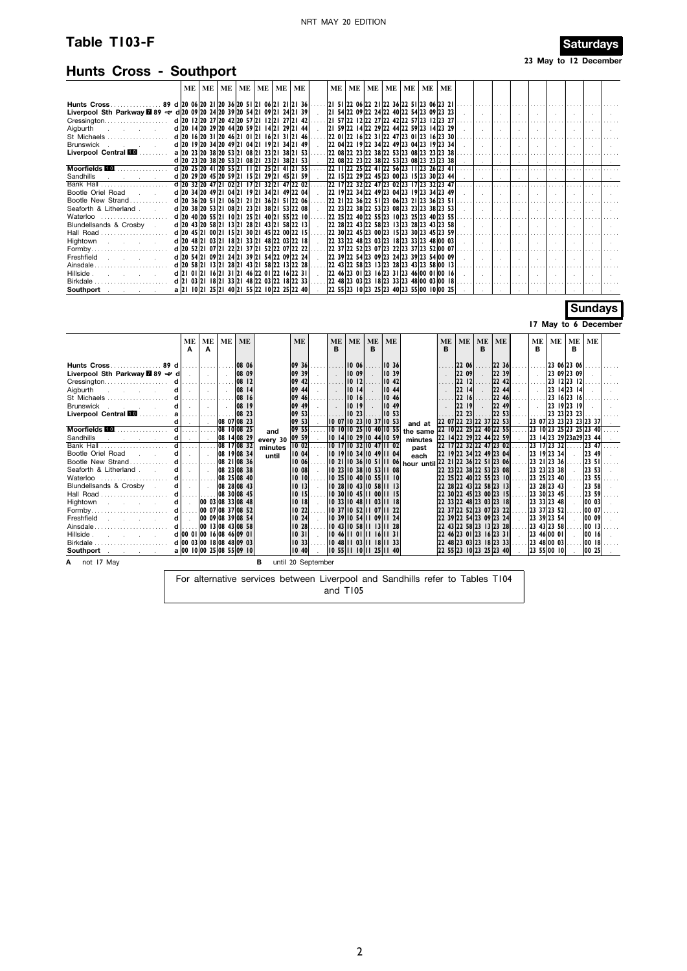# **Table T103-F** Saturdays

# **Hunts Cross - Southport**

**23 May to 12 December**

|                                                                                                                        |  |  |  | ME   ME   ME   ME   ME   ME   ME            |  |  |  | ME   ME   ME   ME   ME   ME   ME                               |  |                                                                                                                        |           |        |                          |                                         |                          |                 |                 |
|------------------------------------------------------------------------------------------------------------------------|--|--|--|---------------------------------------------|--|--|--|----------------------------------------------------------------|--|------------------------------------------------------------------------------------------------------------------------|-----------|--------|--------------------------|-----------------------------------------|--------------------------|-----------------|-----------------|
| Hunts Cross 89 d 20 06 20 21 20 36 20 51 21 06 21 21 21 36                                                             |  |  |  |                                             |  |  |  | . 2  5  22 06 22 2  22 36 22 5  23 06 23 2                     |  |                                                                                                                        |           |        |                          |                                         |                          |                 |                 |
|                                                                                                                        |  |  |  |                                             |  |  |  |                                                                |  |                                                                                                                        |           |        |                          |                                         |                          |                 |                 |
|                                                                                                                        |  |  |  |                                             |  |  |  | 2  57  22 12  22 27  22 42  22 57  23 12  23 27                |  |                                                                                                                        |           |        |                          |                                         |                          |                 |                 |
|                                                                                                                        |  |  |  |                                             |  |  |  |                                                                |  | $ 21\;59 22\;14 22\;29 22\;44 22\;59 23\;14 23\;29$                                                                    |           |        | 1.                       |                                         |                          |                 |                 |
|                                                                                                                        |  |  |  |                                             |  |  |  |                                                                |  |                                                                                                                        |           |        |                          |                                         |                          |                 |                 |
| Brunswick                                                                                                              |  |  |  | d 20 19 20 34 20 49 21 04 21 19 21 34 21 49 |  |  |  | $ 22 \t04 22 \t19 22 \t34 22 \t49 23 \t04 23 \t19 23 \t34 $    |  |                                                                                                                        |           |        | .                        |                                         |                          |                 |                 |
| Liverpool Central <b>100</b> a 20 23 20 38 20 53 21 08 21 23 21 38 21 53                                               |  |  |  |                                             |  |  |  |                                                                |  |                                                                                                                        |           |        |                          |                                         |                          |                 |                 |
|                                                                                                                        |  |  |  | d 20 23 20 38 20 53 21 08 21 23 21 38 21 53 |  |  |  | 22 08 22 23 22 38 22 53 23 08 23 23 23 38                      |  |                                                                                                                        |           |        | المعتادة المعارضيا       |                                         |                          |                 | <b>Contract</b> |
| Moorfields <b>10.</b> d 20 25 20 41 20 55 21 11 21 25 21 41 21 55 .                                                    |  |  |  |                                             |  |  |  |                                                                |  | $ 22 1 22 25 22 41 22 56 23 11 23 26 23 41 $                                                                           |           |        |                          |                                         |                          |                 |                 |
| Sandhills and the second service of the service of the service of the service of the service of the service of         |  |  |  | d 20 29 20 45 20 59 21 15 21 29 21 45 21 59 |  |  |  | $ 22$ 15 22 29 22 45 23 00 23 15 23 30 23 44                   |  | <u> - 1 - 1 - 1 - 1 - 1 - 1 - 1 - 1</u>                                                                                |           |        |                          |                                         |                          |                 |                 |
| Bank Hall                                                                                                              |  |  |  | d 20 32 20 47 21 02 21 17 21 32 21 47 22 02 |  |  |  | 22 17 22 32 22 47 23 02 23 17 23 32 23 47                      |  |                                                                                                                        |           |        |                          |                                         |                          |                 |                 |
| Bootle Oriel Road Francisco Society                                                                                    |  |  |  | d 20 34 20 49 21 04 21 19 21 34 21 49 22 04 |  |  |  |                                                                |  | $ 22 \t19 22 \t34 22 \t49 23 \t04 23 \t19 23 \t34 23 \t49$ . $  \t $ . $  \t $ . $  \t $ . $  \t $ . $  \t $ . $  \t $ |           |        |                          |                                         |                          |                 |                 |
| Bootle New Strand                                                                                                      |  |  |  | d 20 36 20 51 21 06 21 21 21 36 21 51 22 06 |  |  |  | $ 22 \t21 22 \t36 22 \t51 23 \t06 23 \t21 23 \t36 23 \t51 $    |  | وتنبيرا بمنتزل بمنار ومتنا ومتنزل بمنا ومتنا وتوا                                                                      |           |        |                          |                                         |                          |                 |                 |
| Seaforth & Litherland . (a) d 20 38 20 53 21 08 21 23 21 38 21 53 22 08                                                |  |  |  |                                             |  |  |  |                                                                |  |                                                                                                                        |           |        |                          |                                         |                          |                 |                 |
| Waterloo  d 20 40 20 55 21 10 21 25 21 40 21 55 22 10                                                                  |  |  |  |                                             |  |  |  | 22 25 22 40 22 55 23 10 23 25 23 40 23 55                      |  |                                                                                                                        |           |        |                          |                                         |                          |                 |                 |
| Blundellsands & Crosby .                                                                                               |  |  |  | d 20 43 20 58 21 13 21 28 21 43 21 58 22 13 |  |  |  | $ 22 \t28 22 \t43 22 \t58 23 \t13 23 \t28 23 \t43 23 \t58 $    |  |                                                                                                                        |           |        | 1.                       |                                         |                          |                 |                 |
|                                                                                                                        |  |  |  |                                             |  |  |  | $ 22$ 30 $ 22$ 45 $ 23$ 00 $ 23$ 15 $ 23$ 30 $ 23$ 45 $ 23$ 59 |  |                                                                                                                        |           |        |                          |                                         |                          |                 |                 |
| Hightown                                                                                                               |  |  |  | d 20 48 21 03 21 18 21 33 21 48 22 03 22 18 |  |  |  | $ 22 \t33 22 \t48 23 \t03 23 \t18 23 \t33 23 \t48 00 \t03 $    |  | .                                                                                                                      |           |        |                          |                                         |                          | 1.              |                 |
| Formby                                                                                                                 |  |  |  | d 20 52 21 07 21 22 21 37 21 52 22 07 22 22 |  |  |  | 22 37 22 52 23 07 23 22 23 37 23 52 00 07                      |  |                                                                                                                        |           |        |                          |                                         |                          |                 |                 |
| Freshfield , , , ,                                                                                                     |  |  |  | d 20 54 21 09 21 24 21 39 21 54 22 09 22 24 |  |  |  | 22 39 22 54 23 09 23 24 23 39 23 54 00 09                      |  | and the state of the state of the state                                                                                |           |        |                          | and the state of the state of the state |                          |                 | $\sim$          |
|                                                                                                                        |  |  |  |                                             |  |  |  | 2243 2258 2313 2328 2343 2358 0013                             |  |                                                                                                                        |           |        |                          |                                         |                          |                 |                 |
|                                                                                                                        |  |  |  | d 21 01 21 16 21 31 21 46 22 01 22 16 22 31 |  |  |  | 2246 2301 2316 2331 2346 0001 0016                             |  | $\mathbf{1}$                                                                                                           | $\sim 10$ | $\sim$ | $\sim 10^{-11}$          | $\sim 10^{-11}$                         | <b>Contract</b>          | <b>Contract</b> |                 |
|                                                                                                                        |  |  |  |                                             |  |  |  | 2248 2303 2318 2333 2348 0003 0018                             |  |                                                                                                                        |           |        |                          |                                         |                          |                 |                 |
| <b>Southport</b> and the set of the set of the set of the set of the set of the set of the set of the set of the set o |  |  |  | a 21 10 21 25 21 40 21 55 22 10 22 25 22 40 |  |  |  | $ 22\;55 23\;10 23\;25 23\;40 23\;55 00\;10 00\;25 $           |  | $\mathbb{R}$                                                                                                           | الموالي   |        | <b>Contract Contract</b> | $\sim$                                  | <b>Contract Contract</b> |                 |                 |

## **Sundays**

#### **17 May to 6 December**

|                                                                                                                | ME                        | ME<br>A | ME                 | <b>ME</b>        |                     | <b>ME</b>      |                    | <b>ME</b><br>в | <b>ME</b>        | ME<br>B                  | ME             |                                                                                                               | <b>ME</b><br>в | <b>ME</b>               | <b>ME</b><br>в | <b>ME</b>      |       | ME<br>в             | ME          | ME<br>в                      | ME         |   |
|----------------------------------------------------------------------------------------------------------------|---------------------------|---------|--------------------|------------------|---------------------|----------------|--------------------|----------------|------------------|--------------------------|----------------|---------------------------------------------------------------------------------------------------------------|----------------|-------------------------|----------------|----------------|-------|---------------------|-------------|------------------------------|------------|---|
|                                                                                                                |                           |         |                    |                  |                     |                |                    |                |                  |                          |                |                                                                                                               |                |                         |                |                |       |                     |             |                              |            |   |
| Hunts Cross89 d                                                                                                |                           |         |                    | 108 06<br>108 09 |                     | 09 36<br>09 39 |                    |                | 1006 <br> 1009   |                          | 1036<br>1039   |                                                                                                               |                | 22 06                   |                | 22 36<br>22 39 |       |                     |             | 23 06 23 06 <br> 23 09 23 09 |            |   |
| Liverpool Sth Parkway 289 < d                                                                                  |                           |         |                    | 108 12           |                     | 09 42          |                    |                | 10 <sub>12</sub> |                          | 10.42          |                                                                                                               |                | 22 09<br>2212           |                | 22 42          |       |                     |             | 23 12 23 12                  |            |   |
|                                                                                                                | d.                        | . 1     |                    |                  |                     |                |                    |                |                  |                          |                |                                                                                                               |                | 22   14                 |                |                |       |                     |             | $ 23 \t14 23 \t14 $          |            |   |
| Aigburth<br>and the company of the company<br>d                                                                | d                         |         |                    | 108 14<br>108 16 |                     | 09 44<br>09 46 |                    |                | 10 14 <br>10 16  |                          | 10 44<br>10 46 |                                                                                                               |                | 2216                    |                | 22 44<br>22 46 |       |                     |             | $ 23 \t16 23 \t16 $          |            |   |
| St Michaels<br><b>Brunswick</b><br>and the control of                                                          |                           |         |                    | 108 19           |                     | 09 49          |                    |                | 10               |                          | 10 49          |                                                                                                               |                | 2219                    |                | 22 49          | 1.1.1 |                     |             | 23 19 23 19                  |            |   |
| Liverpool Central <b>10</b>                                                                                    |                           |         |                    | 108 23           |                     | 09 53          |                    |                | 10 <sub>23</sub> |                          | 10 53          |                                                                                                               |                | 22, 23                  |                | 22 53          |       |                     | 23 23 23 23 |                              |            |   |
|                                                                                                                |                           | . 1     | 08 07 08 23        |                  |                     | 09 53          |                    |                |                  | 0 07  0 23  0 37  0 53   |                |                                                                                                               |                | 22 07 22 23 22 37 22 53 |                |                |       |                     |             | 23 07 23 23 23 23 23 37      |            |   |
| $M$ oorfields $\blacksquare$                                                                                   |                           |         | 08 10 08 25        |                  |                     | 09 55          |                    |                |                  | 10 10 10 25 10 40 10 55  |                | and at                                                                                                        |                | 22 10 22 25 22 40 22 55 |                |                |       |                     |             | 23 10 23 25 23 25 23 40      |            |   |
| Sandhills<br>and the company of the                                                                            |                           |         | 08 14 08 29        |                  | and                 | 09 59          |                    |                |                  | 0   4  0 29  0 44  0 59  |                | the same<br>minutes                                                                                           |                | 22 14 22 29 22 44 22 59 |                |                |       |                     |             | 23 14 23 29 23 a 29 23 44    |            |   |
| Bank Hall                                                                                                      |                           |         | 08 17 08 32        |                  | every 30<br>minutes | 1002           |                    |                |                  | 110 17 10 32 10 47 11 02 |                | past                                                                                                          |                | 22 17 22 32 22 47 23 02 |                |                |       | 23 17 23 32         |             |                              | $ 23 \t47$ |   |
| Bootle Oriel Road                                                                                              | d                         |         | 08 1908 34         |                  | until               | 10 04          |                    |                |                  | 0   9  0 34  0 49  1 04  |                | each                                                                                                          |                | 22 19 22 34 22 49 23 04 |                |                |       | 23 19 23 34         |             |                              | 23 49      |   |
| Bootle New Strand                                                                                              |                           |         | 08 21 08 36        |                  |                     | 10 06          |                    |                |                  |                          |                | $\vert$ 10 21 $\vert$ 10 36 $\vert$ 10 51 $\vert$ 11 06 $\vert$ <sub>hour until</sub> 22 21 22 36 22 51 23 06 |                |                         |                |                |       | 23 21 23 36         |             |                              | 23 51      |   |
| Seaforth & Litherland.                                                                                         | d                         |         | 08 23 08 38        |                  |                     | 10 08          |                    |                |                  | 10 23 10 38 10 53 11 08  |                |                                                                                                               |                | 22 23 22 38 22 53 23 08 |                |                |       | 23 23 23 38         |             |                              | 23 53      |   |
| Waterloo                                                                                                       | $d$                       |         | 08 25 08 40        |                  |                     | 1010           |                    |                |                  | 110 25 10 40 10 55 11 10 |                |                                                                                                               |                | 22 25 22 40 22 55 23 10 |                |                |       | 23 25 23 40         |             |                              | 23 55      |   |
| Blundellsands & Crosby                                                                                         | d                         |         | $ 08 \t28 08 \t43$ |                  |                     | $10$ $13$      |                    |                |                  | 10 28 10 43 10 58 11 13  |                |                                                                                                               |                | 22 28 22 43 22 58 23 13 |                |                |       | 23 28 23 43         |             |                              | 23 58      |   |
| Hall Road                                                                                                      | d                         |         | 08 30 08 45        |                  |                     | $10$ $15$      |                    |                |                  | 0 30  0 45    00     5   |                |                                                                                                               |                | 22 30 22 45 23 00 23 15 |                |                |       | 23 30 23 45         |             |                              | 23 59      |   |
| Hightown<br>and the state of the state of                                                                      |                           |         | 00 03 08 33 08 48  |                  |                     | 1018           |                    |                |                  | 10 33 10 48 11 03 11 18  |                |                                                                                                               |                | 22 33 22 48 23 03 23 18 |                |                |       | 23 33 23 48         |             |                              | 00 03      |   |
|                                                                                                                | d                         |         | 00 07 08 37 08 52  |                  |                     | 10 22          |                    |                |                  | 0 37  0 52  1 07  1 22   |                |                                                                                                               |                | 22 37 22 52 23 07 23 22 |                |                |       | 23 37 23 52         |             |                              | 00 07      |   |
| Freshfield<br>and the company of the                                                                           |                           |         | 00 09 08 39 08 54  |                  |                     | 10 24          |                    |                |                  | 10 39 10 54 11 09 11 24  |                |                                                                                                               |                | 22 39 22 54 23 09 23 24 |                |                |       | 23 39 23 54         |             |                              | 00 09      |   |
| Ainsdale                                                                                                       |                           |         | 00 13 08 43 08 58  |                  |                     | 10 28          |                    |                |                  | 110 43 10 58 11 13 11 28 |                |                                                                                                               |                | 22 43 22 58 23 13 23 28 |                |                |       | 23 43 23 58         |             |                              | 00  3      |   |
| Hillside.<br>the control of the control of                                                                     | d 00 01 00 16 08 46 09 01 |         |                    |                  |                     | 1031           |                    |                |                  | 0 46    0     16    3    |                |                                                                                                               |                | 22 46 23 01 23 16 23 31 |                |                |       | 23 46 00 01         |             |                              | 00 16      |   |
| Birkdale                                                                                                       | d 00 03 00 18 08 48 09 03 |         |                    |                  |                     | 10.33          |                    |                |                  | 10 48 11 03 11 18 11 33  |                |                                                                                                               |                | 22 48 23 03 23 18 23 33 |                |                |       | 23 48 00 03         |             |                              | 00 18      | . |
| Southport and the state of the state of the state of the state of the state of the state of the state of the s | a 00 10 00 25 08 55 09 10 |         |                    |                  |                     | 10,40          |                    |                |                  | 0 55    10    25    40   |                |                                                                                                               |                | 22 55 23 10 23 25 23 40 |                |                |       | $ 23 \t55 00 \t10 $ |             |                              | 00 25      |   |
| A not 17 May                                                                                                   |                           |         |                    |                  |                     |                | until 20 September |                |                  |                          |                |                                                                                                               |                |                         |                |                |       |                     |             |                              |            |   |

For alternative services between Liverpool and Sandhills refer to Tables T104 and T105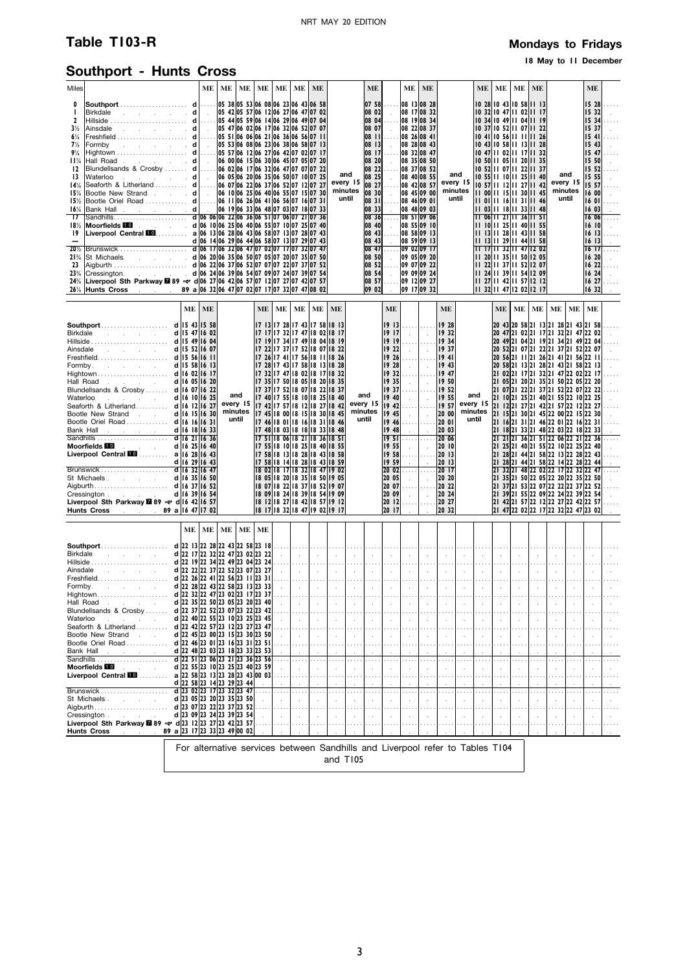# **Table T103-R Mondays** to Fridays

## **18 May to 11 December**

# **Southport - Hunts Cross**

| Miles                                                                                                                                                                                                                           |                                                                                                                                                                                                                                                                                                                                                                                                                                                                                              |                                                                                                                                                                                                                                                                                                                                                                                                                                                                                             | <b>ME</b> | ME | ME                                  | ME        | ME     | ME | <b>ME</b>                                                                                                                                                                                                                                                                                                                                                                                                                                                                                                                                                                                                                                                                                                                                                                                                                              |                                                                   |                                                                               | <b>ME</b>                                                                                                                                                                                                                                                      |                                                                                                                                       |                                                                                                                                                                                                                                                                                                                                                                       | ME ME                                                                                                                  |                                                                                                                                                                                                                                     |                                                                           | ME                                                                                                                                                                                                                                                                                                                                                                                                   | ME                                                                                                       | ME                                             | ME                                                                                                                                                                                                                                                                                                                                                                                                                                                                                                                                                                                                                                                                                                                                                                                                                                                                                                                                                                          |                                 |                                                                      | <b>ME</b>                                                                                                                                                                                                        |                                           |
|---------------------------------------------------------------------------------------------------------------------------------------------------------------------------------------------------------------------------------|----------------------------------------------------------------------------------------------------------------------------------------------------------------------------------------------------------------------------------------------------------------------------------------------------------------------------------------------------------------------------------------------------------------------------------------------------------------------------------------------|---------------------------------------------------------------------------------------------------------------------------------------------------------------------------------------------------------------------------------------------------------------------------------------------------------------------------------------------------------------------------------------------------------------------------------------------------------------------------------------------|-----------|----|-------------------------------------|-----------|--------|----|----------------------------------------------------------------------------------------------------------------------------------------------------------------------------------------------------------------------------------------------------------------------------------------------------------------------------------------------------------------------------------------------------------------------------------------------------------------------------------------------------------------------------------------------------------------------------------------------------------------------------------------------------------------------------------------------------------------------------------------------------------------------------------------------------------------------------------------|-------------------------------------------------------------------|-------------------------------------------------------------------------------|----------------------------------------------------------------------------------------------------------------------------------------------------------------------------------------------------------------------------------------------------------------|---------------------------------------------------------------------------------------------------------------------------------------|-----------------------------------------------------------------------------------------------------------------------------------------------------------------------------------------------------------------------------------------------------------------------------------------------------------------------------------------------------------------------|------------------------------------------------------------------------------------------------------------------------|-------------------------------------------------------------------------------------------------------------------------------------------------------------------------------------------------------------------------------------|---------------------------------------------------------------------------|------------------------------------------------------------------------------------------------------------------------------------------------------------------------------------------------------------------------------------------------------------------------------------------------------------------------------------------------------------------------------------------------------|----------------------------------------------------------------------------------------------------------|------------------------------------------------|-----------------------------------------------------------------------------------------------------------------------------------------------------------------------------------------------------------------------------------------------------------------------------------------------------------------------------------------------------------------------------------------------------------------------------------------------------------------------------------------------------------------------------------------------------------------------------------------------------------------------------------------------------------------------------------------------------------------------------------------------------------------------------------------------------------------------------------------------------------------------------------------------------------------------------------------------------------------------------|---------------------------------|----------------------------------------------------------------------|------------------------------------------------------------------------------------------------------------------------------------------------------------------------------------------------------------------|-------------------------------------------|
| 0<br>п<br>2<br>$3\frac{1}{2}$<br>$6\frac{1}{4}$<br>$7\frac{1}{4}$<br>$9\%$<br>11%<br>12<br>13<br>14%<br>15%<br>15%<br>16%<br>$\overline{17}$<br>18%<br>19<br>$\overline{\phantom{0}}$<br>$20\frac{1}{2}$<br>$21\%$<br>23<br>24% | Ainsdale d   . 05 47 06 02 06 17 06 32 06 52 07 07<br>Hall Road<br>Blundellsands & Crosby  d 06 00 06 15 06 30 06 45 07 05 07 20<br>Blundellsands & Crosby  d 06 02 06 17 06 32 06 47 07 07 07 22<br>Bootle New Strand d 06 10 06 25 06 40 06 55 07 15 07 30<br>Liverpool Sth Parkway 28 89 $\approx$ d 06 27 06 42 06 57 07 12 07 27 07 42 07 57<br>26 <sup>1/4</sup> Hunts Cross . 89 a 06 32 06 47 07 02 07 17 07 32 07 47 08 02                                                          |                                                                                                                                                                                                                                                                                                                                                                                                                                                                                             |           |    |                                     |           |        |    |                                                                                                                                                                                                                                                                                                                                                                                                                                                                                                                                                                                                                                                                                                                                                                                                                                        |                                                                   | and<br>every 15<br>minutes<br>until                                           | 07 58<br> 08 02 <br>$ 08 \t04 $<br>08 07 .<br>08 11<br>08 13<br>08 17<br>08 20<br>08 22<br>08 25<br>08 27<br>08 30<br>08 31<br>08 33<br>0836<br>08 40<br>$\begin{bmatrix} 08 & 43 & \dots \end{bmatrix}$<br>08 43<br>08 50<br>08 52<br>08 54<br>08 57<br>09 02 | $\sim$<br>1.1.1<br>1.1.1<br>$\sim$<br>1.1.1<br>$\sim$<br>$\sim$<br>$\mathcal{L}$                                                      | 08 13 08 28<br>08 17 08 32<br>08 19 08 34<br>08 22 08 37<br>08 26 08 41<br>08 28 08 43<br>08 32 08 47<br>08 35 08 50<br>08 37 08 52<br>08 40 08 55<br>08 42 08 57<br>08 45 09 00<br>08 46 09 01<br>08 48 09 03<br>08 51 09 06<br>08 55 09 10<br>08 58 09 13<br>08 59 09 13<br>084709020917<br>09 05 09 20<br>09 07 09 22<br>09 09 09 24<br>09 12 09 27<br>09 17 09 32 |                                                                                                                        |                                                                                                                                                                                                                                     | and<br>every 15<br>minutes<br>until                                       | 10 52 11 07 11 22 11 37<br>10 57 11 12 11 27 11 42<br>11 00 11 15 11 30 11 45<br>$ 1 $ 01 $ 1 $ 16 $ 1 $ 31 $ 1 $ 46<br>11 03 11 18 11 33 11 48<br>11 06 11 21 11 36 11 51<br>11 10 11 25 11 40 11 55<br>11 13 11 28 11 43 11 58<br>      3    29    44    58<br>11 17 11 32 11 47 12 02<br>11 20 11 35 11 50 12 05<br>11 24 11 39 11 54 12 09<br>11 27 11 42 11 57 12 12<br>11 32 11 47 12 02 12 17 | 10 28 10 43 10 58 11 13<br>10 32 10 47 11 02 11 17<br>10 47 11 02 11 17 11 32<br>11 22 11 37 11 52 12 07 |                                                | 10 34 10 49 11 04 11 19<br>10 37 10 52 11 07 11 22<br>10 41 10 56 11 11 11 26<br>10 43 10 58 11 13 11 28<br>10 50 11 05 11 20 11 35<br>10 55 11 10 11 25 11 40                                                                                                                                                                                                                                                                                                                                                                                                                                                                                                                                                                                                                                                                                                                                                                                                              |                                 | and<br>every 15<br>minutes<br>until                                  | 15 28<br>15 32<br>15 34<br>15 37<br>1541<br>1543<br>15 47<br>15 50<br>15 52<br>15 55<br>15 57<br>16 00<br>1601<br>1603<br>16 06<br>16 IOI<br>16 13<br>1613<br>16 171<br>16 20<br>1622<br>16 24<br>16 27<br>16 32 | $\cdots$<br>$\cdots$<br>.<br>$\mathbf{r}$ |
|                                                                                                                                                                                                                                 |                                                                                                                                                                                                                                                                                                                                                                                                                                                                                              |                                                                                                                                                                                                                                                                                                                                                                                                                                                                                             |           |    |                                     |           |        |    |                                                                                                                                                                                                                                                                                                                                                                                                                                                                                                                                                                                                                                                                                                                                                                                                                                        |                                                                   |                                                                               |                                                                                                                                                                                                                                                                |                                                                                                                                       |                                                                                                                                                                                                                                                                                                                                                                       |                                                                                                                        |                                                                                                                                                                                                                                     |                                                                           |                                                                                                                                                                                                                                                                                                                                                                                                      |                                                                                                          |                                                |                                                                                                                                                                                                                                                                                                                                                                                                                                                                                                                                                                                                                                                                                                                                                                                                                                                                                                                                                                             |                                 |                                                                      |                                                                                                                                                                                                                  |                                           |
|                                                                                                                                                                                                                                 | Ainsdale d   15 52   16 07<br>Freshfield <b>d 15 56 16 11</b><br>Hall Road<br>Blundellsands & Crosby <b>d</b> 16 07 16 22<br>Waterloo <b>d</b> 16 10 16 25<br>Seaforth & Litherland <b>d</b> 16 12 16 27<br>Bootle New Strand . d 16 15 16 30<br>Bootle Oriel Road d 16 16 16 16 31<br>Brunswick d 16 29 16 43<br>Cressington d 16 39 16 54<br>Liverpool Sth Parkway 289 $\Rightarrow$ d 16 42 16 57<br>Hunts Cross 89 a 16 47 17 02                                                         | $\mathbf{ME}$<br>d 16 10 16 25                                                                                                                                                                                                                                                                                                                                                                                                                                                              | <b>ME</b> |    | and<br>every 15<br>minutes<br>until | <b>ME</b> | ME     | ME | <b>ME</b><br>17 13 17 28 17 43 17 58 18 13<br>17 17 17 32 17 47 18 02 18 17<br> 17   9   17 34   17 49   18 04   18 19<br>  7 22  7 37  7 52  8 07  8 22<br>  17 26 17 41 17 56 18 11 18 26<br>17 28 17 43 17 58 18 13 18 28<br>17 32 17 47 18 02 18 17 18 32<br> 17 35 17 50 18 05 18 20 18 35<br>17 37 17 52 18 07 18 22 18 37<br>17 40 17 55 18 10 18 25 18 40<br>17 42 17 57 18 12 18 27 18 42<br>17 45 18 00 18 15 18 30 18 45<br>17 46 18 01 18 16 18 31 18 46<br>17 48 18 03 18 18 18 33 18 48<br>17511806182118361851<br>17 55 18 10 18 25 18 40 18 55<br>17 58 18 13 18 28 18 43 18 58<br>17 58 18 14 18 28 18 43 18 59<br>18 02 18 17 18 32 18 47 19 02<br>18 05 18 20 18 35 18 50 19 05<br>18 07 18 22 18 37 18 52 19 07<br>18 09 18 24 18 39 18 54 19 09<br>18 12 18 27 18 42 18 57 19 12<br>18 17 18 32 18 47 19 02 19 17 | <b>ME</b>                                                         |                                                                               | and<br>every 15<br>minutes<br>until                                                                                                                                                                                                                            | <b>ME</b><br>1917<br>19 19 1<br>1928<br>19 40<br>19,45<br>19,48<br>1951<br>19 55<br>19 59<br>20 05<br>20 07<br>20 09<br>2012<br>20 17 | $1922$ $ $<br>$19.26$<br>and the<br>$1935$ $ $<br>$19.37$<br>$\sim 10^{-1}$<br>.<br>$\sim 10^{-1}$<br>$19.58$<br>$\sim$<br>$2002$<br>$\sim 10^{-1}$<br>.<br>$\sim$ $\sim$<br>.                                                                                                                                                                                        | .<br><b>Contract</b><br><b>Contract</b><br>$\sim$<br>.<br>$\sim$<br>$\sim$<br>$\sim$<br>$\cdots$<br>$\sim$<br>$\cdots$ | <b>ME</b><br>  9 28<br> 1932<br>  934<br>11937<br>li9 41<br>19 43<br>19 50<br>$\left  \ldots \right $ 1952<br>119 55<br>20 00<br> 20 03<br>20 06<br> 20   0<br>20 13<br>20 13<br>20 17<br>20 20<br>20 22<br>20 24<br>20 27<br>20 32 |                                                                           | and<br>every 15<br>minutes<br>until                                                                                                                                                                                                                                                                                                                                                                  | <b>ME</b>                                                                                                | ME                                             | ME<br>20 43 20 58 21 13 21 28 21 43 21 58<br>20 47 21 02 21 17 21 32 21 47 22 02<br>20 49 21 04 21 19 21 34 21 49 22 04<br>20 52 21 07 21 22 21 37 21 52 22 07<br>20 56 21 11 21 26 21 41 21 56 22 11<br>20 58 21 13 21 28 21 43 21 58 22 13<br>21 02 21 17 21 32 21 47 22 02 22 17<br>21 05 21 20 21 35 21 50 22 05 22 20<br> 21 07 21 22 21 37 21 52 22 07 22 22<br>21 10 21 25 21 40 21 55 22 10 22 25<br>21 12 21 27 21 42 21 57 22 12 22 27<br>21 15 21 30 21 45 22 00 22 15 22 30<br>21 16 21 31 21 46 22 01 22 16 22 31<br>21 18 21 33 21 48 22 03 22 18 22 33<br>21 21 21 36 21 51 22 06 22 21 22 36<br>21 25 21 40 21 55 22 10 22 25 22 40<br>21 28 21 44 21 58 22 13 22 28 22 43<br>21 28 21 44 21 58 22 14 22 28 22 44<br>21 32 21 48 22 02 22 17 22 32 22 47<br>21 35 21 50 22 05 22 20 22 35 22 50<br>21 37 21 53 22 07 22 22 22 37 22 52<br>21 39 21 55 22 09 22 24 22 39 22 54<br>21 42 21 57 22 12 22 27 22 42 22 57<br>21 47 22 02 22 17 22 32 22 47 23 02 | ME                              | ME                                                                   | <b>ME</b>                                                                                                                                                                                                        |                                           |
|                                                                                                                                                                                                                                 |                                                                                                                                                                                                                                                                                                                                                                                                                                                                                              | ME                                                                                                                                                                                                                                                                                                                                                                                                                                                                                          | ME        | ME | ME                                  | ME        |        |    |                                                                                                                                                                                                                                                                                                                                                                                                                                                                                                                                                                                                                                                                                                                                                                                                                                        |                                                                   |                                                                               |                                                                                                                                                                                                                                                                |                                                                                                                                       |                                                                                                                                                                                                                                                                                                                                                                       |                                                                                                                        |                                                                                                                                                                                                                                     |                                                                           |                                                                                                                                                                                                                                                                                                                                                                                                      |                                                                                                          |                                                |                                                                                                                                                                                                                                                                                                                                                                                                                                                                                                                                                                                                                                                                                                                                                                                                                                                                                                                                                                             |                                 |                                                                      |                                                                                                                                                                                                                  |                                           |
| Hall Road<br>Waterloo                                                                                                                                                                                                           | Blundellsands & Crosby<br><b>Contract Contract</b><br>Seaforth & Litherland<br>Bootle New Strand<br>$\sim$ 10<br>Bootle Oriel Road<br>Bank Hall<br>state of the company of the<br>Moorfields <b>For the control</b><br>Liverpool Central MO  a 22 58 23 13 23 28 23 43 00 03<br>St Michaels.<br>Cressington.<br>and the state of the state of<br>Liverpool Sth Parkway ■89 $\rightleftharpoons$ d 23 12 23 27 23 42 23 57<br>$\therefore$ 89 a 23 17 23 33 23 49 00 02<br><b>Hunts Cross</b> | d 22 35 22 50 23 05 23 20 23 40<br>d 22 37 22 52 23 07 23 22 23 42<br>d 22 40 22 55 23 10 23 25 23 45<br>d 22 42 22 57 23 12 23 27 23 47<br>$d$ 22 45 23 00 23 15 23 30 23 50<br>$d$ 22 46 23 01 23 16 23 31 23 51<br>d 22 48 23 03 23 18 23 33 23 53<br>$\overline{d}$ 22 51 23 06 23 21 23 36 23 56<br>d 22 55 23 10 23 25 23 40 23 59<br>$d$ 22 58 23 14 23 29 23 44<br>d 23 02 23 17 23 32 23 47<br>d 23 05 23 20 23 35 23 50<br>d 23 07 23 22 23 37 23 52<br>d 23 09 23 24 23 39 23 54 |           |    |                                     |           | .<br>. |    | .<br>$\left  \begin{array}{c} 0 \\ 0 \\ 0 \end{array} \right  \left  \begin{array}{c} 0 \\ 0 \\ 0 \end{array} \right $<br><b>College</b><br>.                                                                                                                                                                                                                                                                                                                                                                                                                                                                                                                                                                                                                                                                                          | - 1<br>. 1<br><b>College</b><br>$\epsilon$<br>$\cdots$<br>$\cdot$ | .<br>$\left  \begin{array}{c} 1 \\ 1 \end{array} \right $<br>$\sim 10^7$<br>. | $\sim 10^{-1}$<br>.<br>$\sim 10^{-1}$                                                                                                                                                                                                                          | .<br>$\sim 10^{-1}$<br>.<br>$\sim$ $\sim$                                                                                             | $\sim 10^7$<br>$\cdots$<br>$\mathbb{R}$<br>.                                                                                                                                                                                                                                                                                                                          | . 1.<br>$\sim 10^{-1}$<br>.<br>$\sim$ $\sim$<br>.                                                                      | 1.<br>$\sim$<br>$\ldots$<br>$\sim 10$<br>1.                                                                                                                                                                                         | .<br>$\sim$<br>.<br>$\sim 10^{-1}$<br>.  <br>$\sim$<br>.<br>$\sim$ $\sim$ | .<br>$\sim 10^7$<br>$\cdots$ .<br>$\sim 10^7$<br>$\sim$<br>.                                                                                                                                                                                                                                                                                                                                         | .<br>$\sim 10^{-1}$<br>.<br>$\sim$<br>.<br>$\sim 10^{-1}$<br>.<br>$\cdots$<br>$\cdots$                   | .<br>$\sim$<br>.<br>$\sim$<br>.<br>.<br>$\sim$ | .<br>$\sim 10^{-1}$<br>$\cdots$<br>$\sim 10^{-1}$<br>.<br>$\mathcal{A}^{\mathcal{A}}$<br>.<br>$\cdot$                                                                                                                                                                                                                                                                                                                                                                                                                                                                                                                                                                                                                                                                                                                                                                                                                                                                       | .<br>$\sim$<br>.<br>$\sim$<br>. | .<br>$\sim$<br>$\sim$<br>.<br>$\mathcal{L}_{\mathcal{A}}$<br>$\cdot$ | $\sim$<br>$\sim$                                                                                                                                                                                                 |                                           |
|                                                                                                                                                                                                                                 |                                                                                                                                                                                                                                                                                                                                                                                                                                                                                              | For alternative services between Sandhills and Liverpool refer to Tables T104                                                                                                                                                                                                                                                                                                                                                                                                               |           |    |                                     |           |        |    |                                                                                                                                                                                                                                                                                                                                                                                                                                                                                                                                                                                                                                                                                                                                                                                                                                        | and T105                                                          |                                                                               |                                                                                                                                                                                                                                                                |                                                                                                                                       |                                                                                                                                                                                                                                                                                                                                                                       |                                                                                                                        |                                                                                                                                                                                                                                     |                                                                           |                                                                                                                                                                                                                                                                                                                                                                                                      |                                                                                                          |                                                |                                                                                                                                                                                                                                                                                                                                                                                                                                                                                                                                                                                                                                                                                                                                                                                                                                                                                                                                                                             |                                 |                                                                      |                                                                                                                                                                                                                  |                                           |
|                                                                                                                                                                                                                                 |                                                                                                                                                                                                                                                                                                                                                                                                                                                                                              |                                                                                                                                                                                                                                                                                                                                                                                                                                                                                             |           |    |                                     |           |        |    |                                                                                                                                                                                                                                                                                                                                                                                                                                                                                                                                                                                                                                                                                                                                                                                                                                        |                                                                   |                                                                               |                                                                                                                                                                                                                                                                |                                                                                                                                       |                                                                                                                                                                                                                                                                                                                                                                       |                                                                                                                        |                                                                                                                                                                                                                                     |                                                                           |                                                                                                                                                                                                                                                                                                                                                                                                      |                                                                                                          |                                                |                                                                                                                                                                                                                                                                                                                                                                                                                                                                                                                                                                                                                                                                                                                                                                                                                                                                                                                                                                             |                                 |                                                                      |                                                                                                                                                                                                                  |                                           |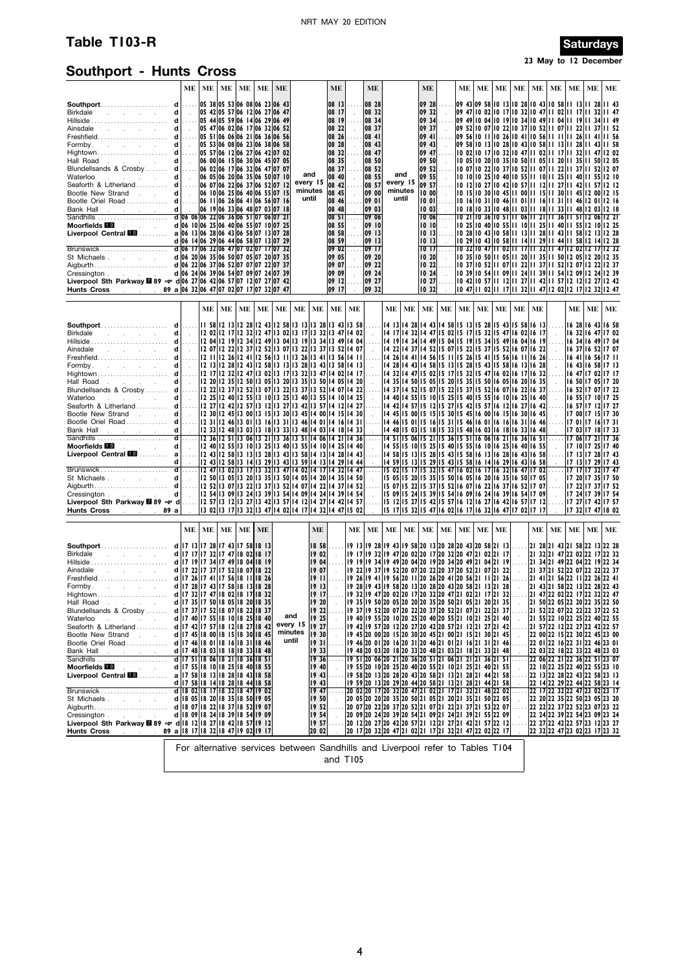# **Table T103-R** Saturdays

## **23 May to 12 December**

# **Southport - Hunts Cross**

|                                                                                                                                                                                                                                |   | МE                                          | $ME$   ME |    |    |       | $ME$   ME   ME                                                 |                                                                       |                | ME             |         | ME             |          |                                                                                                                       | ME             |    | МE | МE | МE | ME       | ME | ME | МE | МE | ME                                                                                                             |
|--------------------------------------------------------------------------------------------------------------------------------------------------------------------------------------------------------------------------------|---|---------------------------------------------|-----------|----|----|-------|----------------------------------------------------------------|-----------------------------------------------------------------------|----------------|----------------|---------|----------------|----------|-----------------------------------------------------------------------------------------------------------------------|----------------|----|----|----|----|----------|----|----|----|----|----------------------------------------------------------------------------------------------------------------|
|                                                                                                                                                                                                                                |   |                                             |           |    |    |       | 05 38 05 53 06 08 06 23 06 43                                  |                                                                       |                | 08 13          |         | 08 28          |          |                                                                                                                       | 09 28          |    |    |    |    |          |    |    |    |    | 09 43 09 58 10 13 10 28 10 43 10 58 11 13 11 28 11 43                                                          |
|                                                                                                                                                                                                                                |   |                                             |           |    |    |       | 05 42 05 57 06 12 06 27 06 47                                  |                                                                       |                | 08 17          |         | 08 32          |          |                                                                                                                       | 09 32          |    |    |    |    |          |    |    |    |    | 09 47  0 02  0 17  0 32  0 47  1 02  1 17  1 32  1 47                                                          |
|                                                                                                                                                                                                                                |   |                                             |           |    |    |       | 05 44 05 59 06 14 06 29 06 49                                  |                                                                       |                | 08 19          |         | 08 34          |          |                                                                                                                       | 09 34          |    |    |    |    |          |    |    |    |    | 09 49  0 04  0 19  0 34  0 49  1 04  1 19  1 34  1 49                                                          |
| Ainsdale                                                                                                                                                                                                                       |   |                                             |           |    |    |       | 05 47 06 02 06 17 06 32 06 52                                  |                                                                       |                | 08 22          |         | 08 37          |          |                                                                                                                       | 09 37          |    |    |    |    |          |    |    |    |    | 09 52  0 07  0 22  0 37  0 52  1 07  1 22  1 37  1 52                                                          |
| Freshfield……………………… d                                                                                                                                                                                                          |   | $\ldots$                                    |           |    |    |       | 05 51 06 06 06 21 06 36 06 56                                  |                                                                       |                | 08 26          |         | 08 41          |          |                                                                                                                       | 09 41          |    |    |    |    |          |    |    |    |    | 09 56 10 11 10 26 10 41 10 56 11 11 11 26 11 41 11 56                                                          |
|                                                                                                                                                                                                                                |   |                                             |           |    |    |       | 05 53 06 08 06 23 06 38 06 58<br>05 57 06 12 06 27 06 42 07 02 |                                                                       |                | 08 28<br>08 32 |         | 08 43<br>08 47 |          |                                                                                                                       | 09 43<br>09 47 |    |    |    |    |          |    |    |    |    | 09 58 10 13 10 28 10 43 10 58 11 13 11 28 11 43 11 58<br>10 02 10 17 10 32 10 47 11 02 11 17 11 32 11 47 12 02 |
|                                                                                                                                                                                                                                |   | $\sim$                                      |           |    |    |       | 06 00 06 15 06 30 06 45 07 05                                  |                                                                       |                | 08 35          |         | 08 50          |          |                                                                                                                       | 09 50          |    |    |    |    |          |    |    |    |    | 10 05 10 20 10 35 10 50 11 05 11 20 11 35 11 50 12 05                                                          |
| Hall Road<br>Blundellsands & Crosby  d                                                                                                                                                                                         |   | .                                           |           |    |    |       | 06 02 06 17 06 32 06 47 07 07                                  |                                                                       |                | 08 37          |         | 08 52          |          |                                                                                                                       | 09 52          |    |    |    |    |          |    |    |    |    | 10 07 10 22 10 37 10 52 11 07 11 22 11 37 11 52 12 07                                                          |
| Waterloo<br>the control of the control of                                                                                                                                                                                      | d | $\sim$                                      |           |    |    |       | 06 05 06 20 06 35 06 50 07 10                                  |                                                                       | and            | 08 40          |         | 08 55          |          | and                                                                                                                   | 09 55          |    |    |    |    |          |    |    |    |    | 10 10 10 25 10 40 10 55 11 10 11 25 11 40 11 55 12 10                                                          |
| Seaforth & Litherland d                                                                                                                                                                                                        |   |                                             |           |    |    |       | 06 07 06 22 06 37 06 52 07 12                                  |                                                                       | every 15       | 08 42          |         | 08 57          |          | every 15                                                                                                              | 09 57          |    |    |    |    |          |    |    |    |    | 10 12 10 27 10 42 10 57 11 12 11 27 11 42 11 57 12 12                                                          |
| Bootle New Strand                                                                                                                                                                                                              | d | $\sim$                                      |           |    |    |       | 06 10 06 25 06 40 06 55 07 15                                  |                                                                       | minutes        | 08 45          |         | 09 00          |          | minutes                                                                                                               | 10 00          |    |    |    |    |          |    |    |    |    | 10 15 10 30 10 45 11 00 11 15 11 30 11 45 12 00 12 15                                                          |
| Bootle Oriel Road  d  06 11 06 26 06 41 06 56 07 16                                                                                                                                                                            |   |                                             |           |    |    |       |                                                                |                                                                       | until          | 08 46          |         | 09 01          |          | until                                                                                                                 | 1001           |    |    |    |    |          |    |    |    |    | 10 16 10 31 10 46 11 01 11 16 11 31 11 46 12 01 12 16                                                          |
|                                                                                                                                                                                                                                |   |                                             |           |    |    |       |                                                                |                                                                       |                | 08 48          |         | 09 03          |          |                                                                                                                       | 1003           |    |    |    |    |          |    |    |    |    | 10 18 10 33 10 48 11 03 11 18 11 33 11 48 12 03 12 18                                                          |
|                                                                                                                                                                                                                                |   |                                             |           |    |    |       |                                                                |                                                                       |                | 08 51          |         | 09 06          |          |                                                                                                                       | 1006           |    |    |    |    |          |    |    |    |    | 10 21 10 36 10 51 11 06 11 21 11 36 11 51 12 06 12 21                                                          |
| Moorfields <b>10</b> And American Security<br>Liverpool Central ELO  a 06 13 06 28 06 43 06 58 07 13 07 28                                                                                                                     |   |                                             |           |    |    |       | d 06 10 06 25 06 40 06 55 07 10 07 25                          |                                                                       |                | 08 55<br>08 58 |         | 09 10<br>09 13 |          |                                                                                                                       | 1010<br>1013   |    |    |    |    |          |    |    |    |    | 10 25 10 40 10 55 11 10 11 25 11 40 11 55 12 10 12 25<br>10 28 10 43 10 58 11 13 11 28 11 43 11 58 12 13 12 28 |
|                                                                                                                                                                                                                                |   |                                             |           |    |    |       | d 06 14 06 29 06 44 06 58 07 13 07 29                          |                                                                       |                | 08 59          |         | 09 13          |          |                                                                                                                       | 1013           |    |    |    |    |          |    |    |    |    | 10 29 10 43 10 58 11 14 11 29 11 44 11 58 12 14 12 28                                                          |
|                                                                                                                                                                                                                                |   |                                             |           |    |    |       |                                                                |                                                                       |                | 0902           |         | 0917           |          |                                                                                                                       | 1017           |    |    |    |    |          |    |    |    |    | 10 32 10 47 11 02 11 17 11 32 11 47 12 02 12 17 12 32                                                          |
| St Michaels                                                                                                                                                                                                                    |   |                                             |           |    |    |       | d 06 20 06 35 06 50 07 05 07 20 07 35                          |                                                                       |                | 09 05          |         | 09 20          |          |                                                                                                                       | 10, 20         |    |    |    |    |          |    |    |    |    | 10 35 10 50 11 05 11 20 11 35 11 50 12 05 12 20 12 35                                                          |
|                                                                                                                                                                                                                                |   |                                             |           |    |    |       |                                                                |                                                                       |                | 09 07          |         | 09 22          |          |                                                                                                                       | 10 22          |    |    |    |    |          |    |    |    |    | 10 37 10 52 11 07 11 22 11 37 11 52 12 07 12 22 12 37                                                          |
| Cressington New York Street, New York Street, New York Street, New York Street, New York Street, New York Street, New York Street, New York Street, New York Street, New York Street, New York Street, New York Street, New Yo |   |                                             |           |    |    |       | d 06 24 06 39 06 54 07 09 07 24 07 39                          |                                                                       |                | 09 09          |         | 09 24          |          |                                                                                                                       | 1024           |    |    |    |    |          |    |    |    |    | 10 39 10 54 11 09 11 24 11 39 11 54 12 09 12 24 12 39                                                          |
| Liverpool Sth Parkway 289 $\rightleftharpoons$ d 06 27 06 42 06 57 07 12 07 27 07 42                                                                                                                                           |   |                                             |           |    |    |       |                                                                |                                                                       |                | 09   12        |         | 09 27          |          |                                                                                                                       | 1027           |    |    |    |    |          |    |    |    |    | 10 42 10 57 11 12 11 27 11 42 11 57 12 12 12 27 12 42                                                          |
| Hunts Cross . 89 a 06 32 06 47 07 02 07 17 07 32 07 47                                                                                                                                                                         |   |                                             |           |    |    |       |                                                                |                                                                       |                | 09 17          |         | 09 32          |          |                                                                                                                       | 1032           |    |    |    |    |          |    |    |    |    | 10 47 11 02 11 17 11 32 11 47 12 02 12 17 12 32 12 47                                                          |
|                                                                                                                                                                                                                                |   |                                             | ME        | ME | ME | ME    | ME                                                             | ME                                                                    | ME             |                | ME   ME |                | $\bf ME$ | ME                                                                                                                    | ME             | МE | ME | МE | ME | ME       | МE |    | ME | МE | ME                                                                                                             |
|                                                                                                                                                                                                                                |   |                                             |           |    |    |       |                                                                |                                                                       |                |                |         |                |          |                                                                                                                       |                |    |    |    |    |          |    |    |    |    |                                                                                                                |
|                                                                                                                                                                                                                                |   |                                             |           |    |    |       |                                                                | 58   12   3   12 28   12 43   12 58   13   13   13 28   13 43   13 58 |                |                |         |                |          | 14 13 14 28 14 43 14 58 15 13 15 28 15 43 15 58 16 13                                                                 |                |    |    |    |    |          |    |    |    |    | 16 28 16 43 16 58                                                                                              |
| Birkdale<br>and the company of the company                                                                                                                                                                                     | d | $\sim 10^7$                                 |           |    |    |       |                                                                | 2 02  2 17  2 32  2 47  3 02  3 17  3 32  3 47  4 02                  |                |                |         |                |          | 14 17 14 32 14 47 15 02 15 17 15 32 15 47 16 02 16 17                                                                 |                |    |    |    |    |          |    |    |    |    | 16 32 16 47 17 02                                                                                              |
|                                                                                                                                                                                                                                |   |                                             |           |    |    |       |                                                                | 2 04  2 19  2 34  2 49  3 04  3 19  3 34  3 49  4 04                  |                |                |         |                |          | 14 19 14 34 14 49 15 04 15 19 15 34 15 49 16 04 16 19                                                                 |                |    |    |    |    |          |    |    |    |    | 16 34 16 49 17 04                                                                                              |
|                                                                                                                                                                                                                                |   |                                             |           |    |    |       |                                                                |                                                                       |                |                |         |                |          | 14 22 14 37 14 52 15 07 15 22 15 37 15 52 16 07 16 22                                                                 |                |    |    |    |    |          |    |    |    |    | 16 37 16 52 17 07                                                                                              |
|                                                                                                                                                                                                                                |   |                                             |           |    |    |       |                                                                |                                                                       |                |                |         |                |          | 14 26 14 41 14 56 15 11 15 26 15 41 15 56 16 11 16 26<br>14 28 14 43 14 58 15 13 15 28 15 43 15 58 16 13 16 28        |                |    |    |    |    |          |    |    |    |    | 16 41 16 56 17 11<br>16 43 16 58 17 13                                                                         |
|                                                                                                                                                                                                                                |   |                                             |           |    |    |       |                                                                | $\vert$  2  7 $\vert$  2 32  2 47  3 02  3  7  3 32  3 47  4 02  4  7 |                |                |         |                |          | 14 32 14 47 15 02 15 17 15 32 15 47 16 02 16 17 16 32                                                                 |                |    |    |    |    |          |    |    |    |    | 16 47 17 02 17 17                                                                                              |
|                                                                                                                                                                                                                                |   |                                             |           |    |    |       |                                                                |                                                                       |                |                |         |                |          | 14 35 14 50 15 05 15 20 15 35 15 50 16 05 16 20 16 35                                                                 |                |    |    |    |    |          |    |    |    |    | 16 50 17 05 17 20                                                                                              |
|                                                                                                                                                                                                                                |   |                                             |           |    |    |       |                                                                |                                                                       |                |                |         |                |          | 14 37 14 52 15 07 15 22 15 37 15 52 16 07 16 22 16 37                                                                 |                |    |    |    |    |          |    |    |    |    | 16 52 17 07 17 22                                                                                              |
| Waterloo<br>the control of the control                                                                                                                                                                                         | d | $\sim 10^{-1}$                              |           |    |    |       |                                                                |                                                                       |                |                |         |                |          | 14 40 14 55 15 10 15 25 15 40 15 55 16 10 16 25 16 40                                                                 |                |    |    |    |    |          |    |    |    |    | 16 55 17 10 17 25                                                                                              |
| Seaforth & Litherland d  12 27 12 42 12 57 13 12 13 27 13 42 13 57 14 12 14 27                                                                                                                                                 |   |                                             |           |    |    |       |                                                                |                                                                       |                |                |         |                |          | 14 42 14 57 15 12 15 27 15 42 15 57 16 12 16 27 16 42                                                                 |                |    |    |    |    |          |    |    |    |    | 16 57 17 12 17 27                                                                                              |
|                                                                                                                                                                                                                                |   |                                             |           |    |    |       |                                                                |                                                                       |                |                |         |                |          | 14 45 15 00 15 15 15 30 15 45 16 00 16 15 16 30 16 45                                                                 |                |    |    |    |    |          |    |    |    |    | 17 00 17 15 17 30                                                                                              |
|                                                                                                                                                                                                                                |   |                                             |           |    |    |       |                                                                |                                                                       |                |                |         |                |          | 14 46 15 01 15 16 15 31 15 46 16 01 16 16 16 31 16 46                                                                 |                |    |    |    |    |          |    |    |    |    | 17 01 17 16 17 31                                                                                              |
|                                                                                                                                                                                                                                |   |                                             |           |    |    |       |                                                                |                                                                       |                |                |         |                |          | 14 48 15 03 15 18 15 33 15 48 16 03 16 18 16 33 16 48<br>14 51 15 06 15 21 15 36 15 51 16 06 16 21 16 36 16 51        |                |    |    |    |    |          |    |    |    |    | 17 03 17 18 17 33<br>17 06 17 21 17 36                                                                         |
|                                                                                                                                                                                                                                |   |                                             |           |    |    |       |                                                                |                                                                       |                |                |         |                |          | 14 55 15 10 15 25 15 40 15 55 16 10 16 25 16 40 16 55                                                                 |                |    |    |    |    |          |    |    |    |    | 17 10 17 25 17 40                                                                                              |
|                                                                                                                                                                                                                                |   |                                             |           |    |    |       |                                                                |                                                                       |                |                |         |                |          | 14 58 15 13 15 28 15 43 15 58 16 13 16 28 16 43 16 58                                                                 |                |    |    |    |    |          |    |    |    |    | 17 13 17 28 17 43                                                                                              |
|                                                                                                                                                                                                                                | d | $\sim 10^{-1}$                              |           |    |    |       |                                                                | 2 43  2 58  3 14  3 29  3 43  3 59  4 13  4 29  4 44                  |                |                |         |                |          | 14 59 15 13 15 29 15 43 15 58 16 14 16 29 16 43 16 58                                                                 |                |    |    |    |    |          |    |    |    |    | 17 13 17 29 17 43                                                                                              |
|                                                                                                                                                                                                                                |   |                                             |           |    |    |       |                                                                | 2 47  3 02  3 17  3 32  3 47  4 02  4 17  4 32  4 47                  |                |                |         |                |          | 15 02 15 17 15 32 15 47 16 02 16 17 16 32 16 47 17 02                                                                 |                |    |    |    |    |          |    |    |    |    | 17 17 17 32 17 47                                                                                              |
|                                                                                                                                                                                                                                | d | $\sim 10^7$                                 |           |    |    |       |                                                                | 2 50  3 05  3 20  3 35  3 50  4 05  4 20  4 35  4 50                  |                |                |         |                |          | 15 05 15 20 15 35 15 50 16 05 16 20 16 35 16 50 17 05                                                                 |                |    |    |    |    |          |    |    |    |    | 17 20 17 35 17 50                                                                                              |
|                                                                                                                                                                                                                                | d |                                             |           |    |    |       |                                                                | 2 54  3 09  3 24  3 39  3 54  4 09  4 24  4 39  4 54                  |                |                |         |                |          | 15 07 15 22 15 37 15 52 16 07 16 22 16 37 16 52 17 07<br>15 09 15 24 15 39 15 54 16 09 16 24 16 39 16 54 17 09        |                |    |    |    |    |          |    |    |    |    | 17 22 17 37 17 52<br>17 24 17 39 17 54                                                                         |
| Liverpool Sth Parkway 289 $\rightleftharpoons$ d   12 57   13 12   13 27   13 42   13 57   14 12   14 27   14 42   14 57                                                                                                       |   | $\sim$                                      |           |    |    |       |                                                                |                                                                       |                |                |         |                |          | 15 12 15 27 15 42 15 57 16 12 16 27 16 42 16 57 17 12                                                                 |                |    |    |    |    |          |    |    |    |    | 17 27 17 42 17 57                                                                                              |
| Hunts Cross<br>and the control<br>89 a                                                                                                                                                                                         |   |                                             |           |    |    |       |                                                                | 3 02  3   7  3 32  3 47  4 02  4   7  4 32  4 47  5 02                |                |                |         |                |          | 15 17 15 32 15 47 16 02 16 17 16 32 16 47 17 02 17 17                                                                 |                |    |    |    |    |          |    |    |    |    | 17 32 17 47 18 02                                                                                              |
|                                                                                                                                                                                                                                |   |                                             |           |    |    |       |                                                                |                                                                       |                |                |         |                |          |                                                                                                                       |                |    |    |    |    |          |    |    |    |    |                                                                                                                |
|                                                                                                                                                                                                                                |   | $ME$   ME                                   |           | ME |    | ME ME |                                                                |                                                                       | <b>ME</b>      |                | ME      | ME             | ME       | ME                                                                                                                    | ME             | ME | ME | ME | МE |          | ME | ME | ME | МE | ME                                                                                                             |
|                                                                                                                                                                                                                                |   |                                             |           |    |    |       |                                                                |                                                                       | 18 58          |                |         |                |          | 19 13 19 28 19 43 19 58 20 13 20 28 20 43 20 58 21 13                                                                 |                |    |    |    |    |          |    |    |    |    | 21 28 21 43 21 58 22 13 22 28                                                                                  |
| Birkdale<br>and the company of the com-                                                                                                                                                                                        |   | d   17   17   17 32   17 47   18 02   18 17 |           |    |    |       |                                                                |                                                                       | 1902           |                |         |                |          | 19 17 19 32 19 47 20 02 20 17 20 32 20 47 21 02 21 17                                                                 |                |    |    |    |    |          |    |    |    |    | 21 32 21 47 22 02 22 17 22 32                                                                                  |
|                                                                                                                                                                                                                                |   |                                             |           |    |    |       |                                                                |                                                                       | 19 04          |                |         |                |          | 19 19 19 34 19 49 20 04 20 19 20 34 20 49 21 04 21 19                                                                 |                |    |    |    |    |          |    |    |    |    | 21 34 21 49 22 04 22 19 22 34                                                                                  |
| 17 22 17 37 17 32 18 07 18 22 17 37 17 32 18 07 18 22<br>Freshfield……………………………………………………………………………………………                                                                                                                         |   |                                             |           |    |    |       |                                                                |                                                                       | 19 07          |                |         |                |          | 19 22 19 37 19 52 20 07 20 22 20 37 20 52 21 07 21 22                                                                 |                |    |    |    |    |          |    |    |    |    | 21 37 21 52 22 07 22 22 22 37                                                                                  |
|                                                                                                                                                                                                                                |   |                                             |           |    |    |       |                                                                |                                                                       | 1911           |                |         |                |          | 19 26 19 41 19 56 20 11 20 26 20 41 20 56 21 11 21 26                                                                 |                |    |    |    |    |          |    |    |    |    | 2  4  2  56 22    22 26 22 41                                                                                  |
| 62 18 13 14 17 18 17 18 17 18 18 19 18 19 10 11 12 17 18 19 10 11 12 18 17 18 17 18 18 19 18 17<br>1 10 11 12 13 14 15 16 17 18 19 10 11 11 12 11 12 11 13 14 15 16 17 18 17 18 17                                             |   |                                             |           |    |    |       |                                                                |                                                                       | 1913           |                |         |                |          | 19 28 19 43 19 58 20 13 20 28 20 43 20 58 21 13 21 28                                                                 |                |    |    |    |    |          |    |    |    |    | 21 43 21 58 22 13 22 28 22 43                                                                                  |
|                                                                                                                                                                                                                                |   |                                             |           |    |    |       |                                                                |                                                                       | 1917           |                |         |                |          | 19 32  9 47  20 02  20 17  20 32  20 47  21 02  21 17  21 32                                                          |                |    |    |    |    |          |    |    |    |    | 2  47 22 02 22 17 22 32 22 47                                                                                  |
|                                                                                                                                                                                                                                |   |                                             |           |    |    |       |                                                                |                                                                       | 19 20<br>19 22 |                |         |                |          | 9 35  9 50 20 05 20 20 20 35 20 50 21 05 21 20 21 35<br> 19 37  9 52  20 07  20 22  20 37  20 52  21 07  21 22  21 37 |                |    |    |    |    |          |    |    |    |    | 2  50 22 05 22 20 22 35 22 50<br> 2  52 22 07 22 22 22 37 22 52                                                |
| Waterloo<br>and the company of the com-                                                                                                                                                                                        |   | d   17 40   17 55   18 10   18 25   18 40   |           |    |    |       |                                                                | and                                                                   | 1925           |                |         |                |          | 19 40  19 55  20 10  20 25  20 40  20 55  21 10  21 25  21 40                                                         |                |    |    |    |    |          |    |    |    |    | 21 55 22 10 22 25 22 40 22 55                                                                                  |
|                                                                                                                                                                                                                                |   |                                             |           |    |    |       |                                                                | every 15                                                              | 19 27          |                |         |                |          | 19 42 19 57 20 12 20 27 20 42 20 57 21 12 21 27 21 42                                                                 |                |    |    |    |    |          |    |    |    |    | 21 57 22 12 22 27 22 42 22 57                                                                                  |
| Bootle New Strand                                                                                                                                                                                                              |   | d   17 45   18 00   18 15   18 30   18 45   |           |    |    |       |                                                                | minutes                                                               | 19 30          |                |         |                |          | 19 45  20 00  20 15  20 30  20 45  21 00  21 15  21 30  21 45                                                         |                |    |    |    |    |          |    |    |    |    | 22 00 22 15 22 30 22 45 23 00                                                                                  |
|                                                                                                                                                                                                                                |   |                                             |           |    |    |       |                                                                | until                                                                 | 1931           |                |         |                |          | 19 46 20 01 20 16 20 31 20 46 21 01 21 16 21 31 21 46                                                                 |                |    |    |    |    |          |    |    |    |    | 22 01 22 16 22 31 22 46 23 01                                                                                  |
|                                                                                                                                                                                                                                |   |                                             |           |    |    |       |                                                                |                                                                       | 1933           |                |         |                |          | 19 48 20 03 20 18 20 33 20 48 21 03 21 18 21 33 21 48                                                                 |                |    |    |    |    |          |    |    |    |    | 22 03 22 18 22 33 22 48 23 03                                                                                  |
|                                                                                                                                                                                                                                |   |                                             |           |    |    |       |                                                                |                                                                       | 19 36          | .              |         |                |          | 19 51 20 06 20 21 20 36 20 51 21 06 21 21 21 36 21 51<br>19 55 20 10 20 25 20 40 20 55 21 10 21 25 21 40 21 55        |                |    |    |    |    | $\cdots$ |    |    |    |    | 22 06 22 21 22 36 22 51 23 07                                                                                  |
|                                                                                                                                                                                                                                |   |                                             |           |    |    |       |                                                                |                                                                       | 19,40          |                |         |                |          |                                                                                                                       |                |    |    |    |    |          |    |    |    |    | 22 10 22 25 22 40 22 55 23 10                                                                                  |
|                                                                                                                                                                                                                                |   | d   17 58   18 14   18 28   18 44   18 58   |           |    |    |       |                                                                |                                                                       | 1943           |                |         |                |          | 19 58 20 13 20 28 20 43 20 58 21 13 21 28 21 44 21 58 <br>19 59 20 13 20 29 20 44 20 58 21 13 21 28 21 44 21 58       |                |    |    |    |    |          |    |    |    |    | 22 13 22 28 22 43 22 58 23 13<br>22 14 22 29 22 44 22 58 23 14                                                 |
| d   17 58   18 14   18 28   18 14   18 28   18 14   18 29   18 14   18 15   19 02   18 17   18 32   18 47   19<br>  17 18 17   18 32   18 17   18 17   18 32   18 17   18 32   18 17   19 17   19 18   19 18   19 19 1         |   |                                             |           |    |    |       |                                                                |                                                                       | 1943<br>1947   |                |         |                |          | 20 02 20 17 20 32 20 47 21 02 21 17 21 32 21 48 22 02                                                                 |                |    |    |    |    |          |    |    |    |    | 22 17 22 32 22 47 23 02 23 17                                                                                  |
|                                                                                                                                                                                                                                |   | d   18 05   18 20   18 35   18 50   19 05   |           |    |    |       |                                                                |                                                                       | 19 50          | $\mathbf{r}$   |         |                |          | 20 05 20 20 20 35 20 50 21 05 21 20 21 35 21 50 22 05                                                                 |                |    |    |    |    |          |    |    |    |    | 22 20 22 35 22 50 23 05 23 20                                                                                  |
|                                                                                                                                                                                                                                |   |                                             |           |    |    |       |                                                                |                                                                       | 19 52          | .              |         |                |          | 20 07 20 22 20 37 20 52 21 07 21 22 21 37 21 53 22 07                                                                 |                |    |    |    |    |          |    |    |    |    | 22 22 22 37 22 52 23 07 23 22                                                                                  |
|                                                                                                                                                                                                                                |   | d 18 09 18 24 18 39 18 54 19 09             |           |    |    |       |                                                                |                                                                       | 19 54          |                |         |                |          | 20 09 20 24 20 39 20 54 21 09 21 24 21 39 21 55 22 09                                                                 |                |    |    |    |    |          |    |    |    |    | 22 24 22 39 22 54 23 09 23 24                                                                                  |
| Liverpool Sth Parkway 289 $\rightleftharpoons$ d 18 12 18 27 18 42 18 57 19 12                                                                                                                                                 |   |                                             |           |    |    |       |                                                                |                                                                       | 19 57          |                |         |                |          | 20 12 20 27 20 42 20 57 21 12 21 27 21 42 21 57 22 12                                                                 |                |    |    |    |    |          |    |    |    |    | 22 27 22 42 22 57 23 12 23 27                                                                                  |
| <b>Hunts Cross</b><br>$\frac{1}{2}$ 89 a 3 18 17 18 32 18 47 19 02 19 17                                                                                                                                                       |   |                                             |           |    |    |       |                                                                |                                                                       | 20 02          |                |         |                |          | 20 17 20 32 20 47 21 02 21 17 21 32 21 47 22 02 22 17                                                                 |                |    |    |    |    |          |    |    |    |    | 22 32 22 47 23 02 23 17 23 32                                                                                  |
|                                                                                                                                                                                                                                |   |                                             |           |    |    |       |                                                                |                                                                       |                |                |         |                |          | For alternative services between Sandhills and Liverpool refer to Tables T104                                         |                |    |    |    |    |          |    |    |    |    |                                                                                                                |
|                                                                                                                                                                                                                                |   |                                             |           |    |    |       |                                                                |                                                                       |                |                |         |                |          |                                                                                                                       |                |    |    |    |    |          |    |    |    |    |                                                                                                                |

and T105